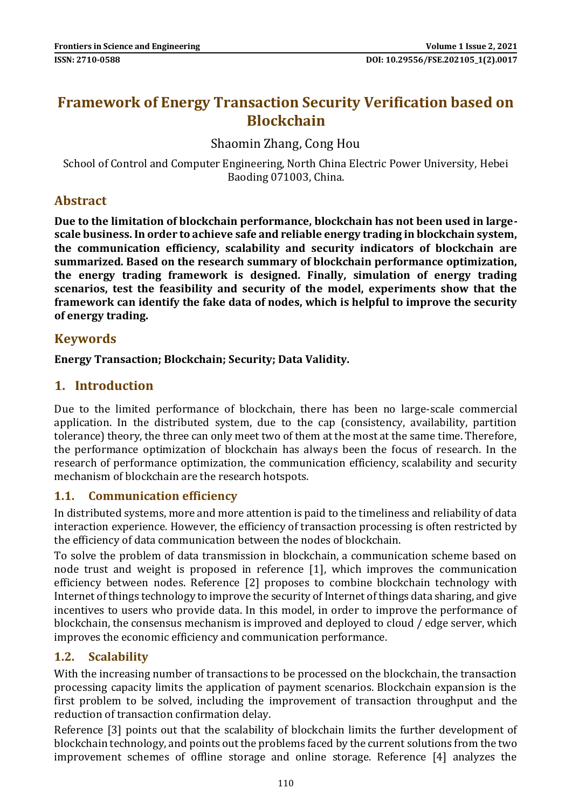# **Framework of Energy Transaction Security Verification based on Blockchain**

## Shaomin Zhang, Cong Hou

School of Control and Computer Engineering, North China Electric Power University, Hebei Baoding 071003, China.

#### **Abstract**

**Due to the limitation of blockchain performance, blockchain has not been used in largescale business. In order to achieve safe and reliable energy trading in blockchain system, the communication efficiency, scalability and security indicators of blockchain are summarized. Based on the research summary of blockchain performance optimization, the energy trading framework is designed. Finally, simulation of energy trading scenarios, test the feasibility and security of the model, experiments show that the framework can identify the fake data of nodes, which is helpful to improve the security of energy trading.**

#### **Keywords**

**Energy Transaction; Blockchain; Security; Data Validity.**

#### **1. Introduction**

Due to the limited performance of blockchain, there has been no large-scale commercial application. In the distributed system, due to the cap (consistency, availability, partition tolerance) theory, the three can only meet two of them at the most at the same time. Therefore, the performance optimization of blockchain has always been the focus of research. In the research of performance optimization, the communication efficiency, scalability and security mechanism of blockchain are the research hotspots.

#### **1.1. Communication efficiency**

In distributed systems, more and more attention is paid to the timeliness and reliability of data interaction experience. However, the efficiency of transaction processing is often restricted by the efficiency of data communication between the nodes of blockchain.

To solve the problem of data transmission in blockchain, a communication scheme based on node trust and weight is proposed in reference [1], which improves the communication efficiency between nodes. Reference [2] proposes to combine blockchain technology with Internet of things technology to improve the security of Internet of things data sharing, and give incentives to users who provide data. In this model, in order to improve the performance of blockchain, the consensus mechanism is improved and deployed to cloud / edge server, which improves the economic efficiency and communication performance.

#### **1.2. Scalability**

With the increasing number of transactions to be processed on the blockchain, the transaction processing capacity limits the application of payment scenarios. Blockchain expansion is the first problem to be solved, including the improvement of transaction throughput and the reduction of transaction confirmation delay.

Reference [3] points out that the scalability of blockchain limits the further development of blockchain technology, and points out the problems faced by the current solutions from the two improvement schemes of offline storage and online storage. Reference [4] analyzes the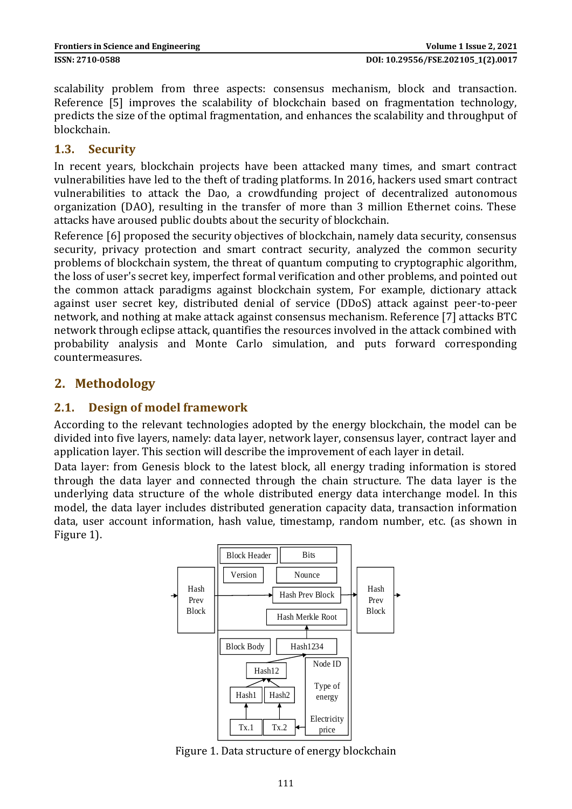scalability problem from three aspects: consensus mechanism, block and transaction. Reference [5] improves the scalability of blockchain based on fragmentation technology, predicts the size of the optimal fragmentation, and enhances the scalability and throughput of blockchain.

#### **1.3. Security**

In recent years, blockchain projects have been attacked many times, and smart contract vulnerabilities have led to the theft of trading platforms. In 2016, hackers used smart contract vulnerabilities to attack the Dao, a crowdfunding project of decentralized autonomous organization (DAO), resulting in the transfer of more than 3 million Ethernet coins. These attacks have aroused public doubts about the security of blockchain.

Reference [6] proposed the security objectives of blockchain, namely data security, consensus security, privacy protection and smart contract security, analyzed the common security problems of blockchain system, the threat of quantum computing to cryptographic algorithm, the loss of user's secret key, imperfect formal verification and other problems, and pointed out the common attack paradigms against blockchain system, For example, dictionary attack against user secret key, distributed denial of service (DDoS) attack against peer-to-peer network, and nothing at make attack against consensus mechanism. Reference [7] attacks BTC network through eclipse attack, quantifies the resources involved in the attack combined with probability analysis and Monte Carlo simulation, and puts forward corresponding countermeasures.

## **2. Methodology**

#### **2.1. Design of model framework**

According to the relevant technologies adopted by the energy blockchain, the model can be divided into five layers, namely: data layer, network layer, consensus layer, contract layer and application layer. This section will describe the improvement of each layer in detail.

Data layer: from Genesis block to the latest block, all energy trading information is stored through the data layer and connected through the chain structure. The data layer is the underlying data structure of the whole distributed energy data interchange model. In this model, the data layer includes distributed generation capacity data, transaction information data, user account information, hash value, timestamp, random number, etc. (as shown in Figure 1).



Figure 1. Data structure of energy blockchain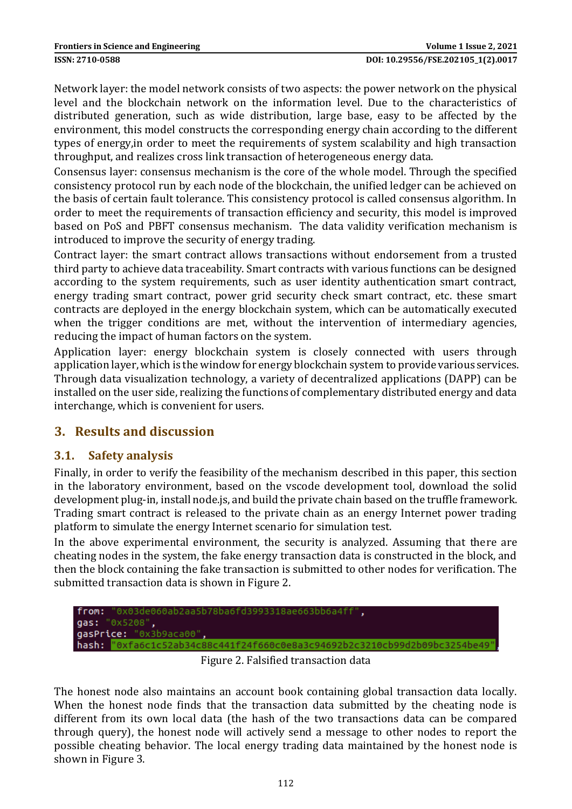Network layer: the model network consists of two aspects: the power network on the physical level and the blockchain network on the information level. Due to the characteristics of distributed generation, such as wide distribution, large base, easy to be affected by the environment, this model constructs the corresponding energy chain according to the different types of energy,in order to meet the requirements of system scalability and high transaction throughput, and realizes cross link transaction of heterogeneous energy data.

Consensus layer: consensus mechanism is the core of the whole model. Through the specified consistency protocol run by each node of the blockchain, the unified ledger can be achieved on the basis of certain fault tolerance. This consistency protocol is called consensus algorithm. In order to meet the requirements of transaction efficiency and security, this model is improved based on PoS and PBFT consensus mechanism. The data validity verification mechanism is introduced to improve the security of energy trading.

Contract layer: the smart contract allows transactions without endorsement from a trusted third party to achieve data traceability. Smart contracts with various functions can be designed according to the system requirements, such as user identity authentication smart contract, energy trading smart contract, power grid security check smart contract, etc. these smart contracts are deployed in the energy blockchain system, which can be automatically executed when the trigger conditions are met, without the intervention of intermediary agencies, reducing the impact of human factors on the system.

Application layer: energy blockchain system is closely connected with users through application layer, which is the window for energy blockchain system to provide various services. Through data visualization technology, a variety of decentralized applications (DAPP) can be installed on the user side, realizing the functions of complementary distributed energy and data interchange, which is convenient for users.

# **3. Results and discussion**

#### **3.1. Safety analysis**

Finally, in order to verify the feasibility of the mechanism described in this paper, this section in the laboratory environment, based on the vscode development tool, download the solid development plug-in, install node.js, and build the private chain based on the truffle framework. Trading smart contract is released to the private chain as an energy Internet power trading platform to simulate the energy Internet scenario for simulation test.

In the above experimental environment, the security is analyzed. Assuming that there are cheating nodes in the system, the fake energy transaction data is constructed in the block, and then the block containing the fake transaction is submitted to other nodes for verification. The submitted transaction data is shown in Figure 2.



Figure 2. Falsified transaction data

The honest node also maintains an account book containing global transaction data locally. When the honest node finds that the transaction data submitted by the cheating node is different from its own local data (the hash of the two transactions data can be compared through query), the honest node will actively send a message to other nodes to report the possible cheating behavior. The local energy trading data maintained by the honest node is shown in Figure 3.